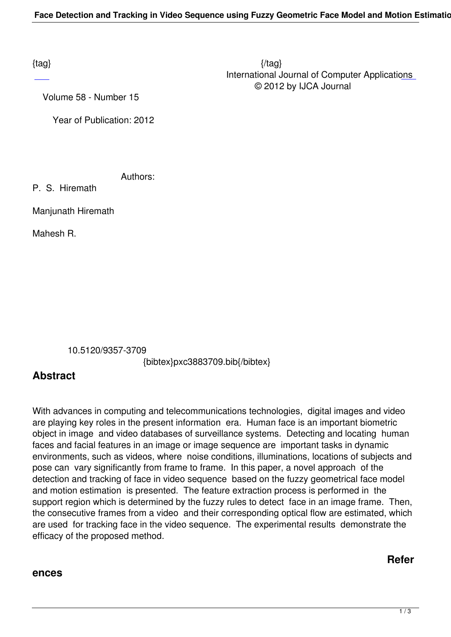$\{tag\}$  International Journal of Computer Applications © 2012 by IJCA Journal

Volume 58 - Number 15

Year of Publication: 2012

Authors:

P. S. Hiremath

Manjunath Hiremath

Mahesh R.

10.5120/9357-3709

{bibtex}pxc3883709.bib{/bibtex}

## **Abstract**

With advances in computing and telecommunications technologies, digital images and video are playing key roles in the present information era. Human face is an important biometric object in image and video databases of surveillance systems. Detecting and locating human faces and facial features in an image or image sequence are important tasks in dynamic environments, such as videos, where noise conditions, illuminations, locations of subjects and pose can vary significantly from frame to frame. In this paper, a novel approach of the detection and tracking of face in video sequence based on the fuzzy geometrical face model and motion estimation is presented. The feature extraction process is performed in the support region which is determined by the fuzzy rules to detect face in an image frame. Then, the consecutive frames from a video and their corresponding optical flow are estimated, which are used for tracking face in the video sequence. The experimental results demonstrate the efficacy of the proposed method.

## **ences**

**Refer**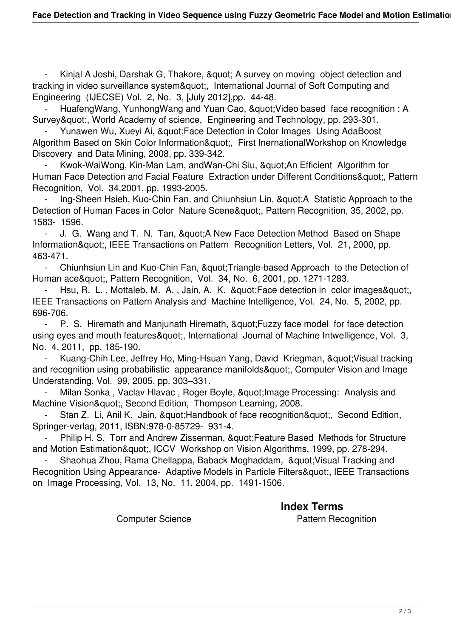Kinjal A Joshi, Darshak G, Thakore, & quot; A survey on moving object detection and tracking in video surveillance system", International Journal of Soft Computing and Engineering (IJECSE) Vol. 2, No. 3, [July 2012],pp. 44-48.

HuafengWang, YunhongWang and Yuan Cao, " Video based face recognition : A Survey", World Academy of science, Engineering and Technology, pp. 293-301.

Yunawen Wu, Xueyi Ai, &quot: Face Detection in Color Images Using AdaBoost Algorithm Based on Skin Color Information", First InernationalWorkshop on Knowledge Discovery and Data Mining, 2008, pp. 339-342.

Kwok-WaiWong, Kin-Man Lam, andWan-Chi Siu, &quot:An Efficient Algorithm for Human Face Detection and Facial Feature Extraction under Different Conditions", Pattern Recognition, Vol. 34,2001, pp. 1993-2005.

Ing-Sheen Hsieh, Kuo-Chin Fan, and Chiunhsiun Lin, "A Statistic Approach to the Detection of Human Faces in Color Nature Scene", Pattern Recognition, 35, 2002, pp. 1583- 1596.

- J. G. Wang and T. N. Tan, & quot; A New Face Detection Method Based on Shape Information", IEEE Transactions on Pattern Recognition Letters, Vol. 21, 2000, pp. 463-471.

- Chiunhsiun Lin and Kuo-Chin Fan, & quot; Triangle-based Approach to the Detection of Human ace&quot:, Pattern Recognition, Vol. 34, No. 6, 2001, pp. 1271-1283.

Hsu, R. L., Mottaleb, M. A., Jain, A. K. & quot; Face detection in color images & quot; IEEE Transactions on Pattern Analysis and Machine Intelligence, Vol. 24, No. 5, 2002, pp. 696-706.

- P. S. Hiremath and Manjunath Hiremath, & quot; Fuzzy face model for face detection using eyes and mouth features & quot;, International Journal of Machine Intwelligence, Vol. 3, No. 4, 2011, pp. 185-190.

Kuang-Chih Lee, Jeffrey Ho, Ming-Hsuan Yang, David Kriegman, " Visual tracking and recognition using probabilistic appearance manifolds&guot; Computer Vision and Image Understanding, Vol. 99, 2005, pp. 303–331.

Milan Sonka, Vaclav Hlavac, Roger Boyle, " Image Processing: Analysis and Machine Vision", Second Edition, Thompson Learning, 2008.

Stan Z. Li, Anil K. Jain, & quot; Handbook of face recognition & quot;, Second Edition, Springer-verlag, 2011, ISBN:978-0-85729- 931-4.

Philip H. S. Torr and Andrew Zisserman, " Feature Based Methods for Structure and Motion Estimation", ICCV Workshop on Vision Algorithms, 1999, pp. 278-294.

Shaohua Zhou, Rama Chellappa, Baback Moghaddam, &quot: Visual Tracking and Recognition Using Appearance- Adaptive Models in Particle Filters", IEEE Transactions on Image Processing, Vol. 13, No. 11, 2004, pp. 1491-1506.

**Index Terms** 

Computer Science **Pattern Recognition**